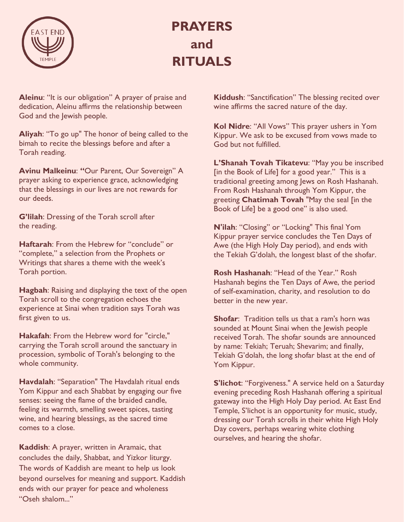

## **PRAYERS and RITUALS**

**Aleinu**: "It is our obligation" A prayer of praise and dedication, Aleinu affirms the relationship between God and the Jewish people.

**Aliyah**: "To go up" The honor of being called to the bimah to recite the blessings before and after a Torah reading.

**Avinu Malkeinu**: **"**Our Parent, Our Sovereign" A prayer asking to experience grace, acknowledging that the blessings in our lives are not rewards for our deeds.

**G'lilah**: Dressing of the Torah scroll after the reading.

**Haftarah**: From the Hebrew for "conclude" or "complete," a selection from the Prophets or Writings that shares a theme with the week's Torah portion.

**Hagbah**: Raising and displaying the text of the open Torah scroll to the congregation echoes the experience at Sinai when tradition says Torah was first given to us.

**Hakafah**: From the Hebrew word for "circle," carrying the Torah scroll around the sanctuary in procession, symbolic of Torah's belonging to the whole community.

**Havdalah**: "Separation" The Havdalah ritual ends Yom Kippur and each Shabbat by engaging our five senses: seeing the flame of the braided candle, feeling its warmth, smelling sweet spices, tasting wine, and hearing blessings, as the sacred time comes to a close.

**Kaddish**: A prayer, written in Aramaic, that concludes the daily, Shabbat, and Yizkor liturgy. The words of Kaddish are meant to help us look beyond ourselves for meaning and support. Kaddish ends with our prayer for peace and wholeness "Oseh shalom..."

**Kiddush**: "Sanctification" The blessing recited over wine affirms the sacred nature of the day.

**Kol Nidre**: "All Vows" This prayer ushers in Yom Kippur. We ask to be excused from vows made to God but not fulfilled.

**L'Shanah Tovah Tikatevu**: "May you be inscribed [in the Book of Life] for a good year." This is a traditional greeting among Jews on Rosh Hashanah. From Rosh Hashanah through Yom Kippur, the greeting **Chatimah Tovah** "May the seal [in the Book of Life] be a good one" is also used.

**N'ilah**: "Closing" or "Locking" This final Yom Kippur prayer service concludes the Ten Days of Awe (the High Holy Day period), and ends with the Tekiah G'dolah, the longest blast of the shofar.

**Rosh Hashanah**: "Head of the Year." Rosh Hashanah begins the Ten Days of Awe, the period of self-examination, charity, and resolution to do better in the new year.

**Shofar:** Tradition tells us that a ram's horn was sounded at Mount Sinai when the Jewish people received Torah. The shofar sounds are announced by name: Tekiah; Teruah; Shevarim; and finally, Tekiah G'dolah, the long shofar blast at the end of Yom Kippur.

**S'lichot**: "Forgiveness." A service held on a Saturday evening preceding Rosh Hashanah offering a spiritual gateway into the High Holy Day period. At East End Temple, S'lichot is an opportunity for music, study, dressing our Torah scrolls in their white High Holy Day covers, perhaps wearing white clothing ourselves, and hearing the shofar.